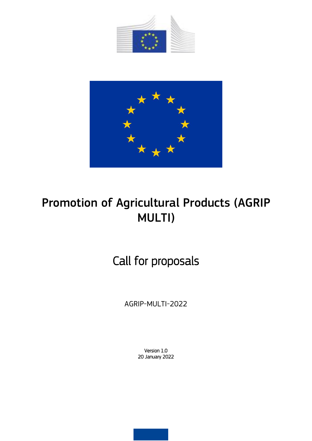



# Promotion of Agricultural Products (AGRIP MULTI)

# Call for proposals

AGRIP-MULTI-2022

Version 1.0 20 January 2022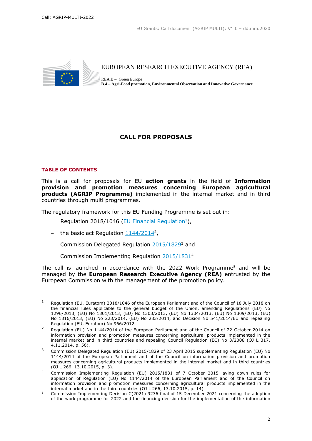

EUROPEAN RESEARCH EXECUTIVE AGENCY (REA)

REA.B – Green Europe **B.4 – Agri-Food promotion, Environmental Observation and Innovative Governance** 

# **CALL FOR PROPOSALS**

#### **TABLE OF CONTENTS**

This is a call for proposals for EU **action grants** in the field of **Information provision and promotion measures concerning European agricultural products (AGRIP Programme)** implemented in the internal market and in third countries through multi programmes.

The regulatory framework for this EU Funding Programme is set out in:

- Regulation 2018/1046 [\(EU Financial Regulation](https://eur-lex.europa.eu/legal-content/EN/ALL/?uri=CELEX:32018R1046&qid=1535046024012)<sup>1</sup>),
- the basic act Regulation  $1144/2014^2$ ,
- Commission Delegated Regulation  $2015/1829^3$  and
- Commission Implementing Regulation [2015/1831](https://eur-lex.europa.eu/legal-content/EN/ALL/?uri=CELEX:32015R1831&qid=1611583354658)<sup>4</sup>

The call is launched in accordance with the 2022 Work Programme<sup>5</sup> and will be managed by the **European Research Executive Agency (REA)** entrusted by the European Commission with the management of the promotion policy.

<sup>1</sup> Regulation (EU, Euratom) 2018/1046 of the European Parliament and of the Council of 18 July 2018 on the financial rules applicable to the general budget of the Union, amending Regulations (EU) No 1296/2013, (EU) No 1301/2013, (EU) No 1303/2013, (EU) No 1304/2013, (EU) No 1309/2013, (EU) No 1316/2013, (EU) No 223/2014, (EU) No 283/2014, and Decision No 541/2014/EU and repealing Regulation (EU, Euratom) No 966/2012

<sup>&</sup>lt;sup>2</sup> Regulation (EU) No 1144/2014 of the European Parliament and of the Council of 22 October 2014 on information provision and promotion measures concerning agricultural products implemented in the internal market and in third countries and repealing Council Regulation (EC) No 3/2008 (OJ L 317, 4.11.2014, p. 56).

<sup>3</sup> Commission Delegated Regulation (EU) 2015/1829 of 23 April 2015 supplementing Regulation (EU) No 1144/2014 of the European Parliament and of the Council on information provision and promotion measures concerning agricultural products implemented in the internal market and in third countries (OJ L 266, 13.10.2015, p. 3).

<sup>4</sup> Commission Implementing Regulation (EU) 2015/1831 of 7 October 2015 laying down rules for application of Regulation (EU) No 1144/2014 of the European Parliament and of the Council on information provision and promotion measures concerning agricultural products implemented in the internal market and in the third countries (OJ L 266, 13.10.2015, p. 14).

<sup>5</sup> Commission Implementing Decision C(2021) 9236 final of 15 December 2021 concerning the adoption of the work programme for 2022 and the financing decision for the implementation of the information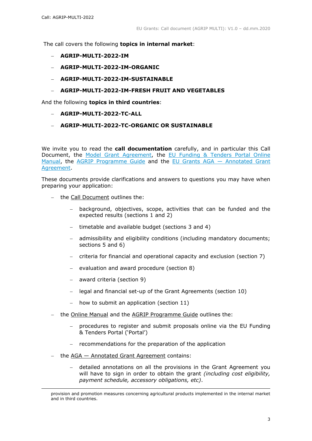The call covers the following **topics in internal market**:

- **AGRIP-MULTI-2022-IM**
- **AGRIP-MULTI-2022-IM-ORGANIC**
- **AGRIP-MULTI-2022-IM-SUSTAINABLE**
- **AGRIP-MULTI-2022-IM-FRESH FRUIT AND VEGETABLES**

And the following **topics in third countries**:

- **AGRIP-MULTI-2022-TC-ALL**
- **AGRIP-MULTI-2022-TC-ORGANIC OR SUSTAINABLE**

We invite you to read the **call documentation** carefully, and in particular this Call Document, the [Model Grant Agreement,](https://ec.europa.eu/info/funding-tenders/opportunities/docs/2021-2027/agrip/agr-contr/multi-mga_agrip_en.pdf) the [EU Funding & Tenders Portal Online](https://ec.europa.eu/info/funding-tenders/opportunities/docs/2021-2027/common/guidance/om_en.pdf)  [Manual,](https://ec.europa.eu/info/funding-tenders/opportunities/docs/2021-2027/common/guidance/om_en.pdf) the [AGRIP Programme Guide](https://ec.europa.eu/info/funding-tenders/opportunities/docs/2021-2027/agrip/guidance/programme-guide_agrip_en.pdf) and the EU Grants AGA — [Annotated Grant](https://ec.europa.eu/info/funding-tenders/opportunities/docs/2021-2027/common/guidance/aga_en.pdf)  [Agreement.](https://ec.europa.eu/info/funding-tenders/opportunities/docs/2021-2027/common/guidance/aga_en.pdf)

These documents provide clarifications and answers to questions you may have when preparing your application:

- the Call Document outlines the:
	- background, objectives, scope, activities that can be funded and the expected results (sections 1 and 2)
	- timetable and available budget (sections 3 and 4)
	- admissibility and eligibility conditions (including mandatory documents; sections 5 and 6)
	- criteria for financial and operational capacity and exclusion (section 7)
	- evaluation and award procedure (section 8)
	- award criteria (section 9)
	- legal and financial set-up of the Grant Agreements (section 10)
	- how to submit an application (section 11)
- the Online Manual and the AGRIP Programme Guide outlines the:
	- procedures to register and submit proposals online via the EU Funding & Tenders Portal ('Portal')
	- recommendations for the preparation of the application
- $-$  the AGA  $-$  Annotated Grant Agreement contains:

1

 detailed annotations on all the provisions in the Grant Agreement you will have to sign in order to obtain the grant *(including cost eligibility, payment schedule, accessory obligations, etc)*.

provision and promotion measures concerning agricultural products implemented in the internal market and in third countries.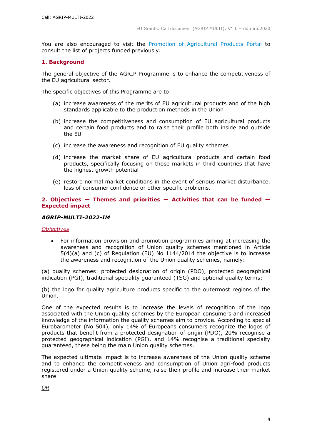You are also encouraged to visit the [Promotion of Agricultural Products Portal](https://rea.ec.europa.eu/funding-and-grants/promotion-agricultural-products_en) to consult the list of projects funded previously.

#### **1. Background**

The general objective of the AGRIP Programme is to enhance the competitiveness of the EU agricultural sector.

The specific objectives of this Programme are to:

- (a) increase awareness of the merits of EU agricultural products and of the high standards applicable to the production methods in the Union
- (b) increase the competitiveness and consumption of EU agricultural products and certain food products and to raise their profile both inside and outside the EU
- (c) increase the awareness and recognition of EU quality schemes
- (d) increase the market share of EU agricultural products and certain food products, specifically focusing on those markets in third countries that have the highest growth potential
- (e) restore normal market conditions in the event of serious market disturbance, loss of consumer confidence or other specific problems.

#### **2. Objectives — Themes and priorities — Activities that can be funded — Expected impact**

#### *AGRIP-MULTI-2022-IM*

#### *Objectives*

 For information provision and promotion programmes aiming at increasing the awareness and recognition of Union quality schemes mentioned in Article 5(4)(a) and (c) of Regulation (EU) No 1144/2014 the objective is to increase the awareness and recognition of the Union quality schemes, namely:

(a) quality schemes: protected designation of origin (PDO), protected geographical indication (PGI), traditional speciality guaranteed (TSG) and optional quality terms;

(b) the logo for quality agriculture products specific to the outermost regions of the Union.

One of the expected results is to increase the levels of recognition of the logo associated with the Union quality schemes by the European consumers and increased knowledge of the information the quality schemes aim to provide. According to special Eurobarometer (No 504), only 14% of Europeans consumers recognize the logos of products that benefit from a protected designation of origin (PDO), 20% recognise a protected geographical indication (PGI), and 14% recognise a traditional specialty guaranteed, these being the main Union quality schemes.

The expected ultimate impact is to increase awareness of the Union quality scheme and to enhance the competitiveness and consumption of Union agri-food products registered under a Union quality scheme, raise their profile and increase their market share.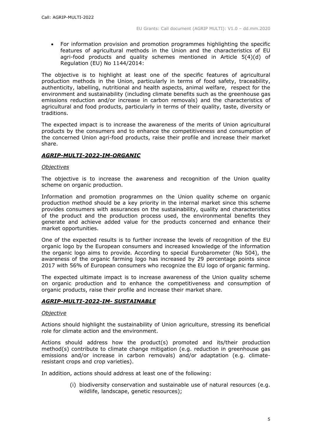For information provision and promotion programmes highlighting the specific features of agricultural methods in the Union and the characteristics of EU agri-food products and quality schemes mentioned in Article 5(4)(d) of Regulation (EU) No 1144/2014:

The objective is to highlight at least one of the specific features of agricultural production methods in the Union, particularly in terms of food safety, traceability, authenticity, labelling, nutritional and health aspects, animal welfare, respect for the environment and sustainability (including climate benefits such as the greenhouse gas emissions reduction and/or increase in carbon removals) and the characteristics of agricultural and food products, particularly in terms of their quality, taste, diversity or traditions.

The expected impact is to increase the awareness of the merits of Union agricultural products by the consumers and to enhance the competitiveness and consumption of the concerned Union agri-food products, raise their profile and increase their market share.

# *AGRIP-MULTI-2022-IM-ORGANIC*

## *Objectives*

The objective is to increase the awareness and recognition of the Union quality scheme on organic production.

Information and promotion programmes on the Union quality scheme on organic production method should be a key priority in the internal market since this scheme provides consumers with assurances on the sustainability, quality and characteristics of the product and the production process used, the environmental benefits they generate and achieve added value for the products concerned and enhance their market opportunities.

One of the expected results is to further increase the levels of recognition of the EU organic logo by the European consumers and increased knowledge of the information the organic logo aims to provide. According to special Eurobarometer (No 504), the awareness of the organic farming logo has increased by 29 percentage points since 2017 with 56% of European consumers who recognize the EU logo of organic farming.

The expected ultimate impact is to increase awareness of the Union quality scheme on organic production and to enhance the competitiveness and consumption of organic products, raise their profile and increase their market share.

# *AGRIP-MULTI-2022-IM- SUSTAINABLE*

#### *Objective*

Actions should highlight the sustainability of Union agriculture, stressing its beneficial role for climate action and the environment.

Actions should address how the product(s) promoted and its/their production method(s) contribute to climate change mitigation (e.g. reduction in greenhouse gas emissions and/or increase in carbon removals) and/or adaptation (e.g. climateresistant crops and crop varieties).

In addition, actions should address at least one of the following:

(i) biodiversity conservation and sustainable use of natural resources (e.g. wildlife, landscape, genetic resources);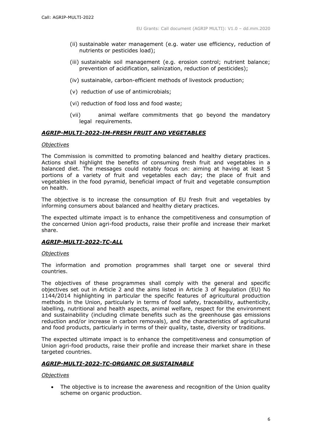- (ii) sustainable water management (e.g. water use efficiency, reduction of nutrients or pesticides load);
- (iii) sustainable soil management (e.g. erosion control; nutrient balance; prevention of acidification, salinization, reduction of pesticides);
- (iv) sustainable, carbon-efficient methods of livestock production;
- (v) reduction of use of antimicrobials;
- (vi) reduction of food loss and food waste;
- (vii) animal welfare commitments that go beyond the mandatory legal requirements.

# *AGRIP-MULTI-2022-IM-FRESH FRUIT AND VEGETABLES*

#### *Objectives*

The Commission is committed to promoting balanced and healthy dietary practices. Actions shall highlight the benefits of consuming fresh fruit and vegetables in a balanced diet. The messages could notably focus on: aiming at having at least 5 portions of a variety of fruit and vegetables each day; the place of fruit and vegetables in the food pyramid, beneficial impact of fruit and vegetable consumption on health.

The objective is to increase the consumption of EU fresh fruit and vegetables by informing consumers about balanced and healthy dietary practices.

The expected ultimate impact is to enhance the competitiveness and consumption of the concerned Union agri-food products, raise their profile and increase their market share.

# *AGRIP-MULTI-2022-TC-ALL*

#### *Objectives*

The information and promotion programmes shall target one or several third countries.

The objectives of these programmes shall comply with the general and specific objectives set out in Article 2 and the aims listed in Article 3 of Regulation (EU) No 1144/2014 highlighting in particular the specific features of agricultural production methods in the Union, particularly in terms of food safety, traceability, authenticity, labelling, nutritional and health aspects, animal welfare, respect for the environment and sustainability (including climate benefits such as the greenhouse gas emissions reduction and/or increase in carbon removals), and the characteristics of agricultural and food products, particularly in terms of their quality, taste, diversity or traditions.

The expected ultimate impact is to enhance the competitiveness and consumption of Union agri-food products, raise their profile and increase their market share in these targeted countries.

# *AGRIP-MULTI-2022-TC-ORGANIC OR SUSTAINABLE*

#### *Objectives*

 The objective is to increase the awareness and recognition of the Union quality scheme on organic production.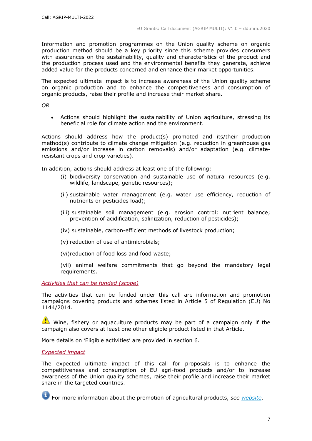Information and promotion programmes on the Union quality scheme on organic production method should be a key priority since this scheme provides consumers with assurances on the sustainability, quality and characteristics of the product and the production process used and the environmental benefits they generate, achieve added value for the products concerned and enhance their market opportunities.

The expected ultimate impact is to increase awareness of the Union quality scheme on organic production and to enhance the competitiveness and consumption of organic products, raise their profile and increase their market share.

*OR*

 Actions should highlight the sustainability of Union agriculture, stressing its beneficial role for climate action and the environment.

Actions should address how the product(s) promoted and its/their production method(s) contribute to climate change mitigation (e.g. reduction in greenhouse gas emissions and/or increase in carbon removals) and/or adaptation (e.g. climateresistant crops and crop varieties).

In addition, actions should address at least one of the following:

- (i) biodiversity conservation and sustainable use of natural resources (e.g. wildlife, landscape, genetic resources);
- (ii) sustainable water management (e.g. water use efficiency, reduction of nutrients or pesticides load);
- (iii) sustainable soil management (e.g. erosion control; nutrient balance; prevention of acidification, salinization, reduction of pesticides);
- (iv) sustainable, carbon-efficient methods of livestock production;
- (v) reduction of use of antimicrobials;
- (vi)reduction of food loss and food waste;

(vii) animal welfare commitments that go beyond the mandatory legal requirements.

*Activities that can be funded (scope)*

The activities that can be funded under this call are information and promotion campaigns covering products and schemes listed in Article 5 of Regulation (EU) No 1144/2014.

Wine, fishery or aquaculture products may be part of a campaign only if the campaign also covers at least one other eligible product listed in that Article.

More details on 'Eligible activities' are provided in section 6.

#### *Expected impact*

The expected ultimate impact of this call for proposals is to enhance the competitiveness and consumption of EU agri-food products and/or to increase awareness of the Union quality schemes, raise their profile and increase their market share in the targeted countries.

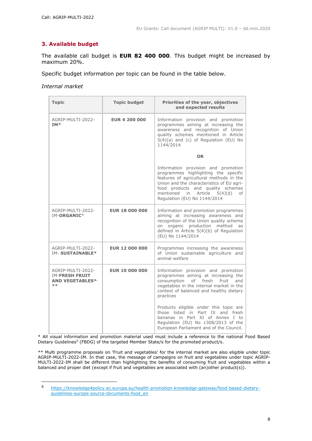# **3. Available budget**

The available call budget is **EUR 82 400 000**. This budget might be increased by maximum 20%.

Specific budget information per topic can be found in the table below.

*Internal market*

| <b>Topic</b>                                                                  | <b>Topic budget</b>   | Priorities of the year, objectives<br>and expected results                                                                                                                                                                                                                        |  |  |
|-------------------------------------------------------------------------------|-----------------------|-----------------------------------------------------------------------------------------------------------------------------------------------------------------------------------------------------------------------------------------------------------------------------------|--|--|
| AGRIP-MULTI-2022-<br>IM*                                                      | <b>EUR 4 200 000</b>  | Information provision and promotion<br>programmes aiming at increasing the<br>awareness and recognition of Union<br>quality schemes mentioned in Article<br>$5(4)(a)$ and (c) of Regulation (EU) No<br>1144/2014                                                                  |  |  |
|                                                                               |                       | <b>OR</b>                                                                                                                                                                                                                                                                         |  |  |
|                                                                               |                       | Information provision and promotion<br>programmes highlighting the specific<br>features of agricultural methods in the<br>Union and the characteristics of EU agri-<br>food products and quality schemes<br>mentioned in Article<br>5(4)(d)<br>of<br>Regulation (EU) No 1144/2014 |  |  |
| AGRIP-MULTI-2022-<br>IM-ORGANIC*                                              | <b>EUR 18 000 000</b> | Information and promotion programmes<br>aiming at increasing awareness and<br>recognition of the Union quality scheme<br>on organic production method<br>as<br>defined in Article 5(4)(b) of Regulation<br>(EU) No 1144/2014                                                      |  |  |
| AGRIP-MULTI-2022-<br><b>IM- SUSTAINABLE*</b>                                  | <b>EUR 12 000 000</b> | Programmes increasing the awareness<br>of Union sustainable agriculture and<br>animal welfare                                                                                                                                                                                     |  |  |
| AGRIP-MULTI-2022-<br><b>IM-FRESH FRUIT</b><br><b>AND VEGETABLES*/</b><br>$**$ | <b>EUR 10 000 000</b> | Information provision and promotion<br>programmes aiming at increasing the<br>consumption<br>of<br>fresh fruit<br>and<br>vegetables in the internal market in the<br>context of balanced and healthy dietary<br>practices                                                         |  |  |
|                                                                               |                       | Products eligible under this topic are<br>those listed in Part IX and fresh<br>bananas in Part XI of Annex I to<br>Regulation (EU) No 1308/2013 of the<br>European Parliament and of the Council.                                                                                 |  |  |

\* All visual information and promotion material used must include a reference to the national Food Based Dietary Guidelines<sup>6</sup> (FBDG) of the targeted Member State/s for the promoted product/s.

\*\* Multi programme proposals on 'Fruit and vegetables' for the internal market are also eligible under topic AGRIP-MULTI-2022-IM. In that case, the message of campaigns on fruit and vegetables under topic AGRIP-MULTI-2022-IM shall be different than highlighting the benefits of consuming fruit and vegetables within a balanced and proper diet (except if fruit and vegetables are associated with (an)other product(s)).

 $6\phantom{a}$ <sup>6</sup> [https://knowledge4policy.ec.europa.eu/health-promotion-knowledge-gateway/food-based-dietary](https://knowledge4policy.ec.europa.eu/health-promotion-knowledge-gateway/food-based-dietary-guidelines-europe-source-documents-food_en)quidelines-europe-source-documents-food\_en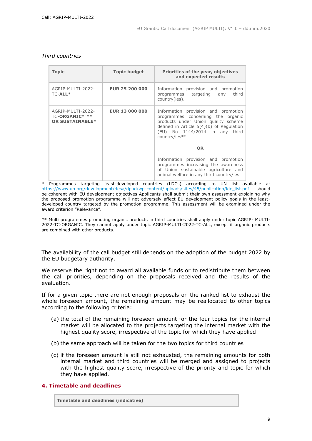|  |  | Third countries |
|--|--|-----------------|
|--|--|-----------------|

| <b>Topic</b>                                                  | <b>Topic budget</b>   | Priorities of the year, objectives<br>and expected results                                                                                                                                                              |  |
|---------------------------------------------------------------|-----------------------|-------------------------------------------------------------------------------------------------------------------------------------------------------------------------------------------------------------------------|--|
| AGRIP-MULTI-2022-<br>TC-ALL*                                  | <b>EUR 25 200 000</b> | Information provision and promotion<br>third<br>programmes targeting any<br>country(ies).                                                                                                                               |  |
| AGRIP-MULTI-2022-<br>TC-ORGANIC*/**<br><b>OR SUSTAINABLE*</b> | <b>EUR 13 000 000</b> | Information provision and promotion<br>programmes concerning the organic<br>products under Union quality scheme<br>defined in Article $5(4)(b)$ of Regulation<br>(EU) No 1144/2014 in any third<br>country/ies**<br>OR. |  |
|                                                               |                       |                                                                                                                                                                                                                         |  |
|                                                               |                       | Information provision and promotion<br>programmes increasing the awareness<br>of Union sustainable agriculture and<br>animal welfare in any third country/ies                                                           |  |

\* Programmes targeting least-developed countries (LDCs) according to UN list available at [https://www.un.org/development/desa/dpad/wp-content/uploads/sites/45/publication/ldc\\_list.pdf](https://www.un.org/development/desa/dpad/wp-content/uploads/sites/45/publication/ldc_list.pdf) should be coherent with EU development objectives Applicants shall submit their own assessment explaining why the proposed promotion programme will not adversely affect EU development policy goals in the leastdeveloped country targeted by the promotion programme. This assessment will be examined under the award criterion "Relevance".

\*\* Multi programmes promoting organic products in third countries shall apply under topic AGRIP- MULTI-2022-TC-ORGANIC. They cannot apply under topic AGRIP-MULTI-2022-TC-ALL, except if organic products are combined with other products.

The availability of the call budget still depends on the adoption of the budget 2022 by the EU budgetary authority.

We reserve the right not to award all available funds or to redistribute them between the call priorities, depending on the proposals received and the results of the evaluation.

If for a given topic there are not enough proposals on the ranked list to exhaust the whole foreseen amount, the remaining amount may be reallocated to other topics according to the following criteria:

- (a) the total of the remaining foreseen amount for the four topics for the internal market will be allocated to the projects targeting the internal market with the highest quality score, irrespective of the topic for which they have applied
- (b) the same approach will be taken for the two topics for third countries
- (c) if the foreseen amount is still not exhausted, the remaining amounts for both internal market and third countries will be merged and assigned to projects with the highest quality score, irrespective of the priority and topic for which they have applied.

# **4. Timetable and deadlines**

**Timetable and deadlines (indicative)**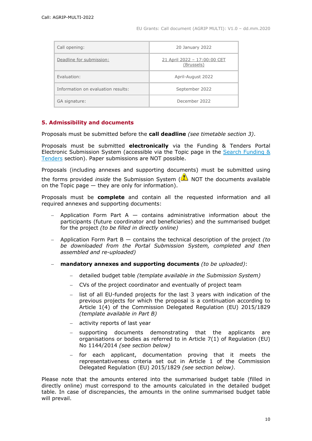| Call opening:                      | 20 January 2022                            |  |
|------------------------------------|--------------------------------------------|--|
| Deadline for submission:           | 21 April 2022 - 17:00:00 CET<br>(Brussels) |  |
| Evaluation:                        | April-August 2022                          |  |
| Information on evaluation results: | September 2022                             |  |
| GA signature:                      | December 2022                              |  |

# **5. Admissibility and documents**

Proposals must be submitted before the **call deadline** *(see timetable section 3)*.

Proposals must be submitted **electronically** via the Funding & Tenders Portal Electronic Submission System (accessible via the Topic page in the [Search Funding &](https://ec.europa.eu/info/funding-tenders/opportunities/portal/screen/opportunities/topic-search;freeTextSearchKeyword=;typeCodes=0,1;statusCodes=31094501,31094502,31094503;programCode=null;programDivisionCode=null;focusAreaCode=null;crossCuttingPriorityCode=null;callCode=Default;sortQuery=openingDate;orderBy=asc;onlyTenders=false;topicListKey=topicSearchTablePageState)  [Tenders](https://ec.europa.eu/info/funding-tenders/opportunities/portal/screen/opportunities/topic-search;freeTextSearchKeyword=;typeCodes=0,1;statusCodes=31094501,31094502,31094503;programCode=null;programDivisionCode=null;focusAreaCode=null;crossCuttingPriorityCode=null;callCode=Default;sortQuery=openingDate;orderBy=asc;onlyTenders=false;topicListKey=topicSearchTablePageState) section). Paper submissions are NOT possible.

Proposals (including annexes and supporting documents) must be submitted using the forms provided *inside* the Submission System (**NOT** the documents available on the Topic page  $-$  they are only for information).

Proposals must be **complete** and contain all the requested information and all required annexes and supporting documents:

- $-$  Application Form Part A  $-$  contains administrative information about the participants (future coordinator and beneficiaries) and the summarised budget for the project *(to be filled in directly online)*
- Application Form Part B contains the technical description of the project *(to be downloaded from the Portal Submission System, completed and then assembled and re-uploaded)*
- **mandatory annexes and supporting documents** *(to be uploaded)*:
	- detailed budget table *(template available in the Submission System)*
	- CVs of the project coordinator and eventually of project team
	- list of all EU-funded projects for the last 3 years with indication of the previous projects for which the proposal is a continuation according to Article 1(4) of the Commission Delegated Regulation (EU) 2015/1829 *(template available in Part B)*
	- activity reports of last year
	- supporting documents demonstrating that the applicants are organisations or bodies as referred to in Article 7(1) of Regulation (EU) No 1144/2014 *(see section below)*
	- for each applicant, documentation proving that it meets the representativeness criteria set out in Article 1 of the Commission Delegated Regulation (EU) 2015/1829 *(see section below)*.

Please note that the amounts entered into the summarised budget table (filled in directly online) must correspond to the amounts calculated in the detailed budget table. In case of discrepancies, the amounts in the online summarised budget table will prevail.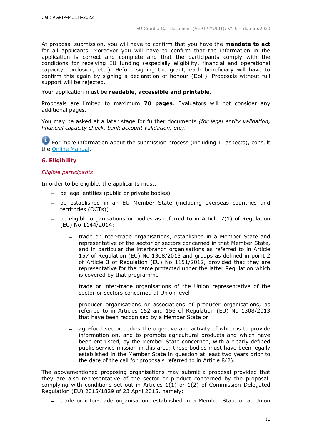At proposal submission, you will have to confirm that you have the **mandate to act** for all applicants. Moreover you will have to confirm that the information in the application is correct and complete and that the participants comply with the conditions for receiving EU funding (especially eligibility, financial and operational capacity, exclusion, etc.). Before signing the grant, each beneficiary will have to confirm this again by signing a declaration of honour (DoH). Proposals without full support will be rejected.

Your application must be **readable**, **accessible and printable**.

Proposals are limited to maximum **70 pages**. Evaluators will not consider any additional pages.

You may be asked at a later stage for further documents *(for legal entity validation, financial capacity check, bank account validation, etc)*.

For more information about the submission process (including IT aspects), consult the [Online Manual.](https://ec.europa.eu/info/funding-tenders/opportunities/docs/2021-2027/common/guidance/om_en.pdf)

# **6. Eligibility**

## *Eligible participants*

In order to be eligible, the applicants must:

- be legal entities (public or private bodies)
- be established in an EU Member State (including overseas countries and territories (OCTs))
- $-$  be eligible organisations or bodies as referred to in Article 7(1) of Regulation (EU) No 1144/2014:
	- trade or inter-trade organisations, established in a Member State and representative of the sector or sectors concerned in that Member State, and in particular the interbranch organisations as referred to in Article 157 of Regulation (EU) No 1308/2013 and groups as defined in point 2 of Article 3 of Regulation (EU) No 1151/2012, provided that they are representative for the name protected under the latter Regulation which is covered by that programme
	- trade or inter-trade organisations of the Union representative of the sector or sectors concerned at Union level
	- producer organisations or associations of producer organisations, as referred to in Articles 152 and 156 of Regulation (EU) No 1308/2013 that have been recognised by a Member State or
	- agri-food sector bodies the objective and activity of which is to provide information on, and to promote agricultural products and which have been entrusted, by the Member State concerned, with a clearly defined public service mission in this area; those bodies must have been legally established in the Member State in question at least two years prior to the date of the call for proposals referred to in Article 8(2).

The abovementioned proposing organisations may submit a proposal provided that they are also representative of the sector or product concerned by the proposal, complying with conditions set out in Articles 1(1) or 1(2) of Commission Delegated Regulation (EU) 2015/1829 of 23 April 2015, namely:

trade or inter-trade organisation, established in a Member State or at Union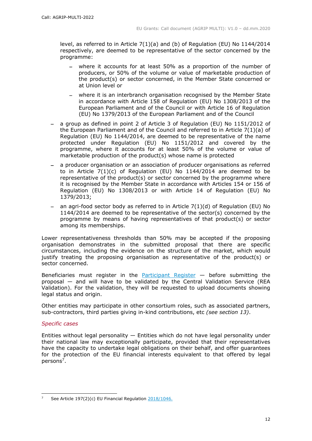level, as referred to in Article 7(1)(a) and (b) of Regulation (EU) No 1144/2014 respectively, are deemed to be representative of the sector concerned by the programme:

- where it accounts for at least 50% as a proportion of the number of producers, or 50% of the volume or value of marketable production of the product(s) or sector concerned, in the Member State concerned or at Union level or
- where it is an interbranch organisation recognised by the Member State in accordance with Article 158 of Regulation (EU) No 1308/2013 of the European Parliament and of the Council or with Article 16 of Regulation (EU) No 1379/2013 of the European Parliament and of the Council
- a group as defined in point 2 of Article 3 of Regulation (EU) No 1151/2012 of the European Parliament and of the Council and referred to in Article 7(1)(a) of Regulation (EU) No 1144/2014, are deemed to be representative of the name protected under Regulation (EU) No 1151/2012 and covered by the programme, where it accounts for at least 50% of the volume or value of marketable production of the product(s) whose name is protected
- a producer organisation or an association of producer organisations as referred to in Article  $7(1)(c)$  of Regulation (EU) No 1144/2014 are deemed to be representative of the product(s) or sector concerned by the programme where it is recognised by the Member State in accordance with Articles 154 or 156 of Regulation (EU) No 1308/2013 or with Article 14 of Regulation (EU) No 1379/2013;
- an agri-food sector body as referred to in Article  $7(1)(d)$  of Regulation (EU) No 1144/2014 are deemed to be representative of the sector(s) concerned by the programme by means of having representatives of that product(s) or sector among its memberships.

Lower representativeness thresholds than 50% may be accepted if the proposing organisation demonstrates in the submitted proposal that there are specific circumstances, including the evidence on the structure of the market, which would justify treating the proposing organisation as representative of the product(s) or sector concerned.

Beneficiaries must register in the **[Participant Register](https://ec.europa.eu/info/funding-tenders/opportunities/portal/screen/how-to-participate/participant-register)**  $-$  before submitting the proposal — and will have to be validated by the Central Validation Service (REA Validation). For the validation, they will be requested to upload documents showing legal status and origin.

Other entities may participate in other consortium roles, such as associated partners, sub-contractors, third parties giving in-kind contributions, etc *(see section 13)*.

#### *Specific cases*

1

Entities without legal personality  $-$  Entities which do not have legal personality under their national law may exceptionally participate, provided that their representatives have the capacity to undertake legal obligations on their behalf, and offer guarantees for the protection of the EU financial interests equivalent to that offered by legal persons<sup>7</sup>.

<sup>7</sup> See Article 197(2)(c) EU Financial Regulation [2018/1046.](https://eur-lex.europa.eu/legal-content/EN/ALL/?uri=CELEX:32018R1046&qid=1535046024012)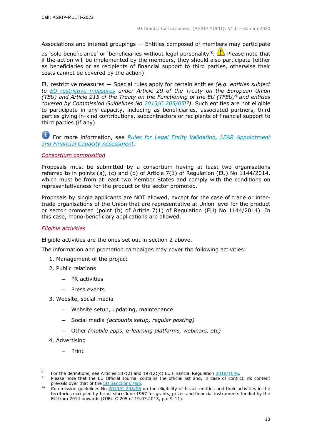Associations and interest groupings — Entities composed of members may participate

as 'sole beneficiaries' or 'beneficiaries without legal personality'<sup>8</sup>. **The Please note that** if the action will be implemented by the members, they should also participate (either as beneficiaries or as recipients of financial support to third parties, otherwise their costs cannot be covered by the action).

EU restrictive measures — Special rules apply for certain entities *(e.g. entities subject to [EU restrictive measures](http://www.sanctionsmap.eu/) under Article 29 of the Treaty on the European Union (TEU) and Article 215 of the Treaty on the Functioning of the EU (TFEU)<sup>9</sup> and entities covered by Commission Guidelines No [2013/C 205/05](http://eur-lex.europa.eu/LexUriServ/LexUriServ.do?uri=OJ:C:2013:205:FULL:EN:PDF)<sup>10</sup>)*. Such entities are not eligible to participate in any capacity, including as beneficiaries, associated partners, third parties giving in-kind contributions, subcontractors or recipients of financial support to third parties (if any).

# For more information, *see [Rules for Legal Entity Validation, LEAR Appointment](https://ec.europa.eu/info/funding-tenders/opportunities/docs/2021-2027/common/guidance/rules-lev-lear-fca_en.pdf)  [and Financial Capacity Assessment](https://ec.europa.eu/info/funding-tenders/opportunities/docs/2021-2027/common/guidance/rules-lev-lear-fca_en.pdf)*.

#### *Consortium composition*

Proposals must be submitted by a consortium having at least two organisations referred to in points (a), (c) and (d) of Article  $7(1)$  of Regulation (EU) No  $1144/2014$ , which must be from at least two Member States and comply with the conditions on representativeness for the product or the sector promoted.

Proposals by single applicants are NOT allowed, except for the case of trade or intertrade organisations of the Union that are representative at Union level for the product or sector promoted (point (b) of Article 7(1) of Regulation (EU) No 1144/2014). In this case, mono-beneficiary applications are allowed.

# *Eligible activities*

Eligible activities are the ones set out in section 2 above.

The information and promotion campaigns may cover the following activities:

- 1. Management of the project
- 2. Public relations
	- $-$  PR activities
	- $-$  Press events
- 3. Website, social media
	- Website setup, updating, maintenance
	- Social media *(accounts setup, regular posting)*
	- Other *(mobile apps, e-learning platforms, webinars, etc)*
- 4. Advertising

 $-$  Print

For the definitions, see Articles  $187(2)$  and  $197(2)(c)$  EU Financial Regulation  $2018/1046$ .

Please note that the EU Official Journal contains the official list and, in case of conflict, its content prevails over that of the [EU Sanctions Map.](http://www.sanctionsmap.eu/)

<sup>&</sup>lt;sup>10</sup> Commission guidelines No  $\frac{2013}{C}$   $\frac{205}{05}$  on the eligibility of Israeli entities and their activities in the territories occupied by Israel since June 1967 for grants, prizes and financial instruments funded by the EU from 2014 onwards (OJEU C 205 of 19.07.2013, pp. 9-11).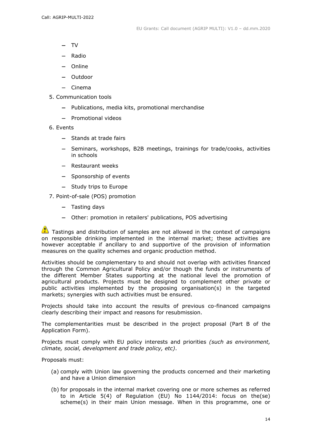- $-$  TV
- $-$  Radio
- Online
- Outdoor
- Cinema
- 5. Communication tools
	- Publications, media kits, promotional merchandise
	- Promotional videos
- 6. Events
	- Stands at trade fairs
	- Seminars, workshops, B2B meetings, trainings for trade/cooks, activities in schools
	- Restaurant weeks
	- Sponsorship of events
	- Study trips to Europe

7. Point-of-sale (POS) promotion

- $-$  Tasting days
- Other: promotion in retailers' publications, POS advertising

 $\Box$  Tastings and distribution of samples are not allowed in the context of campaigns on responsible drinking implemented in the internal market; these activities are however acceptable if ancillary to and supportive of the provision of information measures on the quality schemes and organic production method.

Activities should be complementary to and should not overlap with activities financed through the Common Agricultural Policy and/or though the funds or instruments of the different Member States supporting at the national level the promotion of agricultural products. Projects must be designed to complement other private or public activities implemented by the proposing organisation(s) in the targeted markets; synergies with such activities must be ensured.

Projects should take into account the results of previous co-financed campaigns clearly describing their impact and reasons for resubmission.

The complementarities must be described in the project proposal (Part B of the Application Form).

Projects must comply with EU policy interests and priorities *(such as environment, climate, social, development and trade policy, etc)*.

Proposals must:

- (a) comply with Union law governing the products concerned and their marketing and have a Union dimension
- (b) for proposals in the internal market covering one or more schemes as referred to in Article 5(4) of Regulation (EU) No 1144/2014: focus on the(se) scheme(s) in their main Union message. When in this programme, one or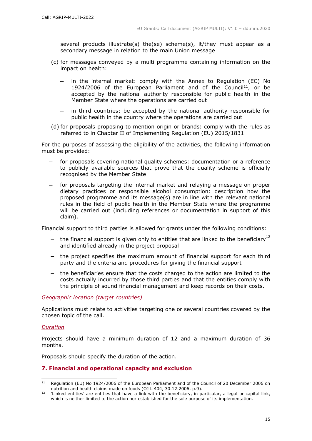several products illustrate(s) the(se) scheme(s), it/they must appear as a secondary message in relation to the main Union message

- (c) for messages conveyed by a multi programme containing information on the impact on health:
	- in the internal market: comply with the Annex to Regulation (EC) No 1924/2006 of the European Parliament and of the Council<sup>11</sup>, or be accepted by the national authority responsible for public health in the Member State where the operations are carried out
	- in third countries: be accepted by the national authority responsible for public health in the country where the operations are carried out
- (d) for proposals proposing to mention origin or brands: comply with the rules as referred to in Chapter II of Implementing Regulation (EU) 2015/1831

For the purposes of assessing the eligibility of the activities, the following information must be provided:

- for proposals covering national quality schemes: documentation or a reference to publicly available sources that prove that the quality scheme is officially recognised by the Member State
- for proposals targeting the internal market and relaying a message on proper dietary practices or responsible alcohol consumption: description how the proposed programme and its message(s) are in line with the relevant national rules in the field of public health in the Member State where the programme will be carried out (including references or documentation in support of this claim).

Financial support to third parties is allowed for grants under the following conditions:

- the financial support is given only to entities that are linked to the beneficiary<sup>12</sup> and identified already in the project proposal
- the project specifies the maximum amount of financial support for each third party and the criteria and procedures for giving the financial support
- the beneficiaries ensure that the costs charged to the action are limited to the costs actually incurred by those third parties and that the entities comply with the principle of sound financial management and keep records on their costs.

*Geographic location (target countries)*

Applications must relate to activities targeting one or several countries covered by the chosen topic of the call.

#### *Duration*

Projects should have a minimum duration of 12 and a maximum duration of 36 months.

Proposals should specify the duration of the action.

#### **7. Financial and operational capacity and exclusion**

 $11$ Regulation (EU) No 1924/2006 of the European Parliament and of the Council of 20 December 2006 on nutrition and health claims made on foods (OJ L 404, 30.12.2006, p.9).

<sup>&</sup>lt;sup>12</sup> 'Linked entities' are entities that have a link with the beneficiary, in particular, a legal or capital link, which is neither limited to the action nor established for the sole purpose of its implementation.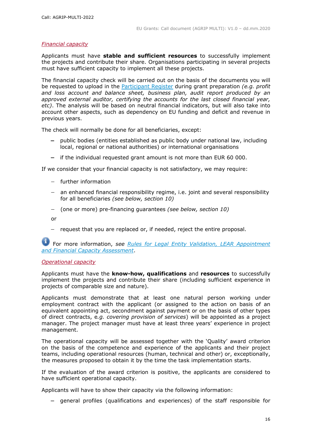## *Financial capacity*

Applicants must have **stable and sufficient resources** to successfully implement the projects and contribute their share. Organisations participating in several projects must have sufficient capacity to implement all these projects.

The financial capacity check will be carried out on the basis of the documents you will be requested to upload in the [Participant Register](https://ec.europa.eu/info/funding-tenders/opportunities/portal/screen/how-to-participate/participant-register) during grant preparation *(e.g. profit and loss account and balance sheet, business plan, audit report produced by an approved external auditor, certifying the accounts for the last closed financial year, etc)*. The analysis will be based on neutral financial indicators, but will also take into account other aspects, such as dependency on EU funding and deficit and revenue in previous years.

The check will normally be done for all beneficiaries, except:

- public bodies (entities established as public body under national law, including local, regional or national authorities) or international organisations
- $-$  if the individual requested grant amount is not more than EUR 60 000.

If we consider that your financial capacity is not satisfactory, we may require:

- further information
- an enhanced financial responsibility regime, i.e. joint and several responsibility for all beneficiaries *(see below, section 10)*
- (one or more) pre-financing guarantees *(see below, section 10)*

or

- request that you are replaced or, if needed, reject the entire proposal.

For more information, *see [Rules for Legal Entity Validation, LEAR Appointment](https://ec.europa.eu/info/funding-tenders/opportunities/docs/2021-2027/common/guidance/rules-lev-lear-fca_en.pdf)  [and Financial Capacity](https://ec.europa.eu/info/funding-tenders/opportunities/docs/2021-2027/common/guidance/rules-lev-lear-fca_en.pdf) Assessment*.

#### *Operational capacity*

Applicants must have the **know-how, qualifications** and **resources** to successfully implement the projects and contribute their share (including sufficient experience in projects of comparable size and nature).

Applicants must demonstrate that at least one natural person working under employment contract with the applicant (or assigned to the action on basis of an equivalent appointing act, secondment against payment or on the basis of other types of direct contracts, e*.g. covering provision of services*) will be appointed as a project manager. The project manager must have at least three years' experience in project management.

The operational capacity will be assessed together with the 'Quality' award criterion on the basis of the competence and experience of the applicants and their project teams, including operational resources (human, technical and other) or, exceptionally, the measures proposed to obtain it by the time the task implementation starts.

If the evaluation of the award criterion is positive, the applicants are considered to have sufficient operational capacity.

Applicants will have to show their capacity via the following information:

- general profiles (qualifications and experiences) of the staff responsible for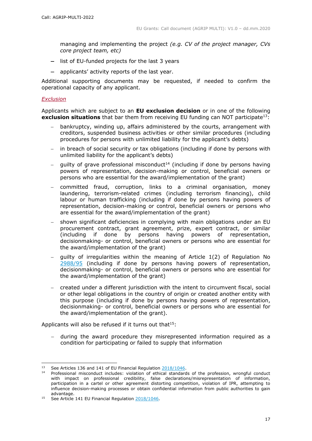managing and implementing the project *(e.g. CV of the project manager, CVs core project team, etc)*

- $-$  list of EU-funded projects for the last 3 years
- applicants' activity reports of the last year.

Additional supporting documents may be requested, if needed to confirm the operational capacity of any applicant.

## *Exclusion*

Applicants which are subject to an **EU exclusion decision** or in one of the following **exclusion situations** that bar them from receiving EU funding can NOT participate<sup>13</sup>:

- bankruptcy, winding up, affairs administered by the courts, arrangement with creditors, suspended business activities or other similar procedures (including procedures for persons with unlimited liability for the applicant's debts)
- in breach of social security or tax obligations (including if done by persons with unlimited liability for the applicant's debts)
- quilty of grave professional misconduct<sup>14</sup> (including if done by persons having powers of representation, decision-making or control, beneficial owners or persons who are essential for the award/implementation of the grant)
- committed fraud, corruption, links to a criminal organisation, money laundering, terrorism-related crimes (including terrorism financing), child labour or human trafficking (including if done by persons having powers of representation, decision-making or control, beneficial owners or persons who are essential for the award/implementation of the grant)
- shown significant deficiencies in complying with main obligations under an EU procurement contract, grant agreement, prize, expert contract, or similar (including if done by persons having powers of representation, decisionmaking- or control, beneficial owners or persons who are essential for the award/implementation of the grant)
- guilty of irregularities within the meaning of Article 1(2) of Regulation No [2988/95](http://eur-lex.europa.eu/legal-content/EN/ALL/?uri=CELEX:31995R2988&qid=1501598622514) (including if done by persons having powers of representation, decisionmaking- or control, beneficial owners or persons who are essential for the award/implementation of the grant)
- created under a different jurisdiction with the intent to circumvent fiscal, social or other legal obligations in the country of origin or created another entity with this purpose (including if done by persons having powers of representation, decisionmaking- or control, beneficial owners or persons who are essential for the award/implementation of the grant).

Applicants will also be refused if it turns out that  $15$ :

 during the award procedure they misrepresented information required as a condition for participating or failed to supply that information

See Articles 136 and 141 of EU Financial Regulation [2018/1046.](https://eur-lex.europa.eu/legal-content/EN/ALL/?uri=CELEX:32018R1046&qid=1535046024012)

<sup>&</sup>lt;sup>14</sup> Professional misconduct includes: violation of ethical standards of the profession, wrongful conduct with impact on professional credibility, false declarations/misrepresentation of information, participation in a cartel or other agreement distorting competition, violation of IPR, attempting to influence decision-making processes or obtain confidential information from public authorities to gain advantage.

<sup>&</sup>lt;sup>15</sup> See Article 141 EU Financial Regulation [2018/1046.](https://eur-lex.europa.eu/legal-content/EN/ALL/?uri=CELEX:32018R1046&qid=1535046024012)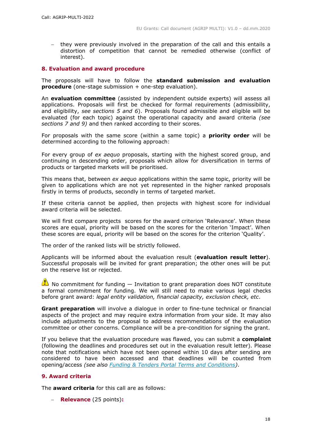they were previously involved in the preparation of the call and this entails a distortion of competition that cannot be remedied otherwise (conflict of interest).

## **8. Evaluation and award procedure**

The proposals will have to follow the **standard submission and evaluation procedure** (one-stage submission + one-step evaluation).

An **evaluation committee** (assisted by independent outside experts) will assess all applications. Proposals will first be checked for formal requirements (admissibility, and eligibility, *see sections 5 and 6*). Proposals found admissible and eligible will be evaluated (for each topic) against the operational capacity and award criteria *(see sections 7 and 9)* and then ranked according to their scores.

For proposals with the same score (within a same topic) a **priority order** will be determined according to the following approach:

For every group of *ex aequo* proposals, starting with the highest scored group, and continuing in descending order, proposals which allow for diversification in terms of products or targeted markets will be prioritised.

This means that, between *ex aequo* applications within the same topic, priority will be given to applications which are not yet represented in the higher ranked proposals firstly in terms of products, secondly in terms of targeted market.

If these criteria cannot be applied, then projects with highest score for individual award criteria will be selected.

We will first compare projects scores for the award criterion 'Relevance'. When these scores are equal, priority will be based on the scores for the criterion 'Impact'. When these scores are equal, priority will be based on the scores for the criterion 'Quality'.

The order of the ranked lists will be strictly followed.

Applicants will be informed about the evaluation result (**evaluation result letter**). Successful proposals will be invited for grant preparation; the other ones will be put on the reserve list or rejected.

 $\bullet$  No commitment for funding  $-$  Invitation to grant preparation does NOT constitute a formal commitment for funding. We will still need to make various legal checks before grant award: *legal entity validation, financial capacity, exclusion check, etc*.

**Grant preparation** will involve a dialogue in order to fine-tune technical or financial aspects of the project and may require extra information from your side. It may also include adjustments to the proposal to address recommendations of the evaluation committee or other concerns. Compliance will be a pre-condition for signing the grant.

If you believe that the evaluation procedure was flawed, you can submit a **complaint** (following the deadlines and procedures set out in the evaluation result letter). Please note that notifications which have not been opened within 10 days after sending are considered to have been accessed and that deadlines will be counted from opening/access *(see also [Funding & Tenders Portal Terms and Conditions\)](https://ec.europa.eu/info/funding-tenders/opportunities/docs/2021-2027/common/ftp/tc_en.pdf)*.

# **9. Award criteria**

The **award criteria** for this call are as follows:

**Relevance** (25 points)**:**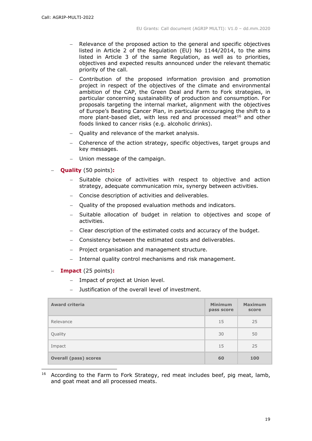- Relevance of the proposed action to the general and specific objectives listed in Article 2 of the Regulation (EU) No 1144/2014, to the aims listed in Article 3 of the same Regulation, as well as to priorities, objectives and expected results announced under the relevant thematic priority of the call.
- Contribution of the proposed information provision and promotion project in respect of the objectives of the climate and environmental ambition of the CAP, the Green Deal and Farm to Fork strategies, in particular concerning sustainability of production and consumption. For proposals targeting the internal market, alignment with the objectives of Europe's Beating Cancer Plan, in particular encouraging the shift to a more plant-based diet, with less red and processed meat<sup>16</sup> and other foods linked to cancer risks (e.g. alcoholic drinks).
- Quality and relevance of the market analysis.
- Coherence of the action strategy, specific objectives, target groups and key messages.
- Union message of the campaign.
- **Quality** (50 points)**:**
	- Suitable choice of activities with respect to objective and action strategy, adequate communication mix, synergy between activities.
	- Concise description of activities and deliverables.
	- Ouality of the proposed evaluation methods and indicators.
	- Suitable allocation of budget in relation to objectives and scope of activities.
	- Clear description of the estimated costs and accuracy of the budget.
	- Consistency between the estimated costs and deliverables.
	- Project organisation and management structure.
	- Internal quality control mechanisms and risk management.
- **Impact** (25 points)**:**
	- Impact of project at Union level.
	- Justification of the overall level of investment.

| <b>Award criteria</b>        | <b>Minimum</b><br>pass score | <b>Maximum</b><br>score |
|------------------------------|------------------------------|-------------------------|
| Relevance                    | 15                           | 25                      |
| Quality                      | 30                           | 50                      |
| Impact                       | 15                           | 25                      |
| <b>Overall (pass) scores</b> | 60                           | 100                     |

 <sup>16</sup> According to the Farm to Fork Strategy, red meat includes beef, pig meat, lamb, and goat meat and all processed meats.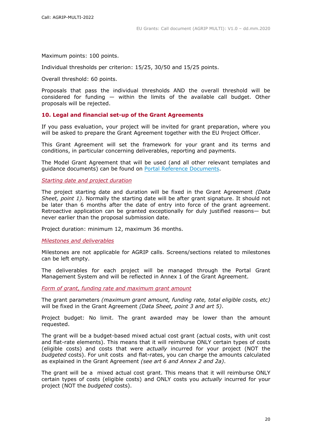Maximum points: 100 points.

Individual thresholds per criterion: 15/25, 30/50 and 15/25 points.

Overall threshold: 60 points.

Proposals that pass the individual thresholds AND the overall threshold will be considered for funding  $-$  within the limits of the available call budget. Other proposals will be rejected.

## **10. Legal and financial set-up of the Grant Agreements**

If you pass evaluation, your project will be invited for grant preparation, where you will be asked to prepare the Grant Agreement together with the EU Project Officer.

This Grant Agreement will set the framework for your grant and its terms and conditions, in particular concerning deliverables, reporting and payments.

The Model Grant Agreement that will be used (and all other relevant templates and guidance documents) can be found on [Portal Reference Documents.](https://ec.europa.eu/info/funding-tenders/opportunities/portal/screen/how-to-participate/reference-documents)

*Starting date and project duration*

The project starting date and duration will be fixed in the Grant Agreement *(Data Sheet, point 1)*. Normally the starting date will be after grant signature. It should not be later than 6 months after the date of entry into force of the grant agreement. Retroactive application can be granted exceptionally for duly justified reasons— but never earlier than the proposal submission date.

Project duration: minimum 12, maximum 36 months.

*Milestones and deliverables*

Milestones are not applicable for AGRIP calls. Screens/sections related to milestones can be left empty.

The deliverables for each project will be managed through the Portal Grant Management System and will be reflected in Annex 1 of the Grant Agreement.

*Form of grant, funding rate and maximum grant amount*

The grant parameters *(maximum grant amount, funding rate, total eligible costs, etc)* will be fixed in the Grant Agreement *(Data Sheet, point 3 and art 5)*.

Project budget: No limit. The grant awarded may be lower than the amount requested.

The grant will be a budget-based mixed actual cost grant (actual costs, with unit cost and flat-rate elements). This means that it will reimburse ONLY certain types of costs (eligible costs) and costs that were *actually* incurred for your project (NOT the *budgeted* costs). For unit costs and flat-rates, you can charge the amounts calculated as explained in the Grant Agreement *(see art 6 and Annex 2 and 2a)*.

The grant will be a mixed actual cost grant. This means that it will reimburse ONLY certain types of costs (eligible costs) and ONLY costs you *actually* incurred for your project (NOT the *budgeted* costs).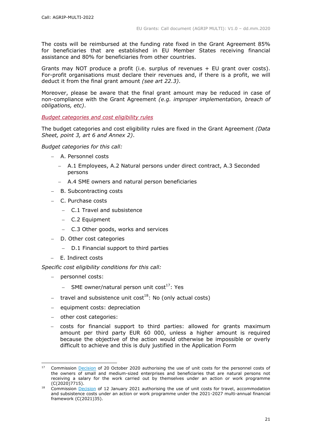The costs will be reimbursed at the funding rate fixed in the Grant Agreement 85% for beneficiaries that are established in EU Member States receiving financial assistance and 80% for beneficiaries from other countries.

Grants may NOT produce a profit (i.e. surplus of revenues + EU grant over costs). For-profit organisations must declare their revenues and, if there is a profit, we will deduct it from the final grant amount *(see art 22.3)*.

Moreover, please be aware that the final grant amount may be reduced in case of non-compliance with the Grant Agreement *(e.g. improper implementation, breach of obligations, etc)*.

*Budget categories and cost eligibility rules*

The budget categories and cost eligibility rules are fixed in the Grant Agreement *(Data Sheet, point 3, art 6 and Annex 2)*.

*Budget categories for this call:*

- A. Personnel costs
	- A.1 Employees, A.2 Natural persons under direct contract, A.3 Seconded persons
	- A.4 SME owners and natural person beneficiaries
- B. Subcontracting costs
- C. Purchase costs
	- C.1 Travel and subsistence
	- C.2 Equipment
	- C.3 Other goods, works and services
- D. Other cost categories
	- D.1 Financial support to third parties
- E. Indirect costs

*Specific cost eligibility conditions for this call:* 

- personnel costs:
	- $-$  SME owner/natural person unit cost<sup>17</sup>: Yes
- travel and subsistence unit cost<sup>18</sup>: No (only actual costs)
- equipment costs: depreciation
- other cost categories:

 costs for financial support to third parties: allowed for grants maximum amount per third party EUR 60 000, unless a higher amount is required because the objective of the action would otherwise be impossible or overly difficult to achieve and this is duly justified in the Application Form

Commission [Decision](https://ec.europa.eu/info/funding-tenders/opportunities/docs/2021-2027/common/guidance/unit-cost-decision-sme-owners-natural-persons_en.pdf) of 20 October 2020 authorising the use of unit costs for the personnel costs of the owners of small and medium-sized enterprises and beneficiaries that are natural persons not receiving a salary for the work carried out by themselves under an action or work programme (C(2020)7715).

<sup>&</sup>lt;sup>18</sup> Commission **Decision** of 12 January 2021 authorising the use of unit costs for travel, accommodation and subsistence costs under an action or work programme under the 2021-2027 multi-annual financial framework (C(2021)35).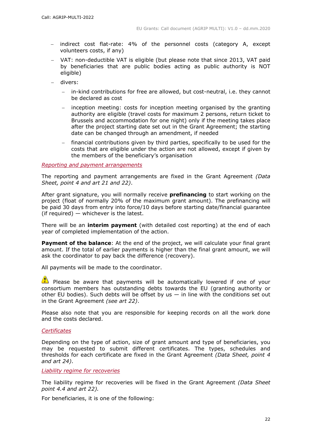- indirect cost flat-rate: 4% of the personnel costs (category A, except volunteers costs, if any)
- VAT: non-deductible VAT is eligible (but please note that since 2013, VAT paid by beneficiaries that are public bodies acting as public authority is NOT eligible)
- divers:
	- in-kind contributions for free are allowed, but cost-neutral, i.e. they cannot be declared as cost
	- $-$  inception meeting: costs for inception meeting organised by the granting authority are eligible (travel costs for maximum 2 persons, return ticket to Brussels and accommodation for one night) only if the meeting takes place after the project starting date set out in the Grant Agreement; the starting date can be changed through an amendment, if needed
	- financial contributions given by third parties, specifically to be used for the costs that are eligible under the action are not allowed, except if given by the members of the beneficiary's organisation

*Reporting and payment arrangements* 

The reporting and payment arrangements are fixed in the Grant Agreement *(Data Sheet, point 4 and art 21 and 22)*.

After grant signature, you will normally receive **prefinancing** to start working on the project (float of normally 20% of the maximum grant amount). The prefinancing will be paid 30 days from entry into force/10 days before starting date/financial guarantee (if required) — whichever is the latest.

There will be an **interim payment** (with detailed cost reporting) at the end of each year of completed implementation of the action.

**Payment of the balance**: At the end of the project, we will calculate your final grant amount. If the total of earlier payments is higher than the final grant amount, we will ask the coordinator to pay back the difference (recovery).

All payments will be made to the coordinator.

**Please be aware that payments will be automatically lowered if one of your** consortium members has outstanding debts towards the EU (granting authority or other EU bodies). Such debts will be offset by us  $-$  in line with the conditions set out in the Grant Agreement *(see art 22)*.

Please also note that you are responsible for keeping records on all the work done and the costs declared.

#### *Certificates*

Depending on the type of action, size of grant amount and type of beneficiaries, you may be requested to submit different certificates. The types, schedules and thresholds for each certificate are fixed in the Grant Agreement *(Data Sheet, point 4 and art 24)*.

*Liability regime for recoveries*

The liability regime for recoveries will be fixed in the Grant Agreement *(Data Sheet point 4.4 and art 22).*

For beneficiaries, it is one of the following: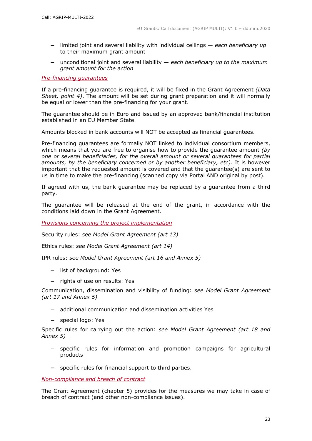- limited joint and several liability with individual ceilings *each beneficiary up* to their maximum grant amount
- unconditional joint and several liability *each beneficiary up to the maximum grant amount for the action*

#### *Pre-financing guarantees*

If a pre-financing guarantee is required, it will be fixed in the Grant Agreement *(Data Sheet, point 4)*. The amount will be set during grant preparation and it will normally be equal or lower than the pre-financing for your grant.

The guarantee should be in Euro and issued by an approved bank/financial institution established in an EU Member State.

Amounts blocked in bank accounts will NOT be accepted as financial guarantees.

Pre-financing guarantees are formally NOT linked to individual consortium members, which means that you are free to organise how to provide the guarantee amount *(by one or several beneficiaries, for the overall amount or several guarantees for partial amounts, by the beneficiary concerned or by another beneficiary, etc)*. It is however important that the requested amount is covered and that the guarantee(s) are sent to us in time to make the pre-financing (scanned copy via Portal AND original by post).

If agreed with us, the bank guarantee may be replaced by a guarantee from a third party.

The guarantee will be released at the end of the grant, in accordance with the conditions laid down in the Grant Agreement.

*Provisions concerning the project implementation*

Security rules: *see Model Grant Agreement (art 13)*

Ethics rules: *see Model Grant Agreement (art 14)*

IPR rules: *see Model Grant Agreement (art 16 and Annex 5)*

- list of background: Yes
- rights of use on results: Yes

Communication, dissemination and visibility of funding: *see Model Grant Agreement (art 17 and Annex 5)*

- additional communication and dissemination activities Yes
- special logo: Yes

Specific rules for carrying out the action: *see Model Grant Agreement (art 18 and Annex 5)*

- specific rules for information and promotion campaigns for agricultural products
- specific rules for financial support to third parties.

*Non-compliance and breach of contract*

The Grant Agreement (chapter 5) provides for the measures we may take in case of breach of contract (and other non-compliance issues).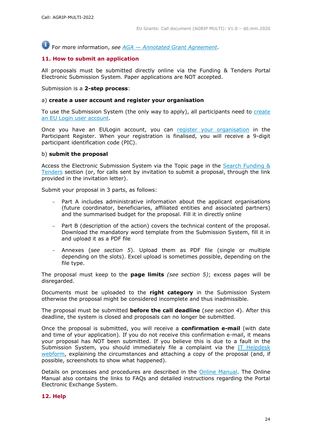For more information, *see AGA — [Annotated Grant Agreement](https://ec.europa.eu/info/funding-tenders/opportunities/docs/2021-2027/common/guidance/aga_en.pdf)*.

# **11. How to submit an application**

All proposals must be submitted directly online via the Funding & Tenders Portal Electronic Submission System. Paper applications are NOT accepted.

Submission is a **2-step process**:

#### a) **create a user account and register your organisation**

To use the Submission System (the only way to apply), all participants need to [create](https://webgate.ec.europa.eu/cas/eim/external/register.cgi)  [an EU Login user account.](https://webgate.ec.europa.eu/cas/eim/external/register.cgi)

Once you have an EULogin account, you can [register your organisation](https://ec.europa.eu/info/funding-tenders/opportunities/portal/screen/how-to-participate/participant-register) in the Participant Register. When your registration is finalised, you will receive a 9-digit participant identification code (PIC).

#### b) **submit the proposal**

Access the Electronic Submission System via the Topic page in the [Search Funding &](https://ec.europa.eu/info/funding-tenders/opportunities/portal/screen/opportunities/topic-search;freeTextSearchKeyword=;typeCodes=0,1;statusCodes=31094501,31094502,31094503;programCode=null;programDivisionCode=null;focusAreaCode=null;crossCuttingPriorityCode=null;callCode=Default;sortQuery=openingDate;orderBy=asc;onlyTenders=false;topicListKey=topicSearchTablePageState)  [Tenders](https://ec.europa.eu/info/funding-tenders/opportunities/portal/screen/opportunities/topic-search;freeTextSearchKeyword=;typeCodes=0,1;statusCodes=31094501,31094502,31094503;programCode=null;programDivisionCode=null;focusAreaCode=null;crossCuttingPriorityCode=null;callCode=Default;sortQuery=openingDate;orderBy=asc;onlyTenders=false;topicListKey=topicSearchTablePageState) section (or, for calls sent by invitation to submit a proposal, through the link provided in the invitation letter).

Submit your proposal in 3 parts, as follows:

- Part A includes administrative information about the applicant organisations (future coordinator, beneficiaries, affiliated entities and associated partners) and the summarised budget for the proposal. Fill it in directly online
- Part B (description of the action) covers the technical content of the proposal. Download the mandatory word template from the Submission System, fill it in and upload it as a PDF file
- Annexes (*see section 5*). Upload them as PDF file (single or multiple depending on the slots). Excel upload is sometimes possible, depending on the file type.

The proposal must keep to the **page limits** *(see section 5)*; excess pages will be disregarded.

Documents must be uploaded to the **right category** in the Submission System otherwise the proposal might be considered incomplete and thus inadmissible.

The proposal must be submitted **before the call deadline** (*see section 4*). After this deadline, the system is closed and proposals can no longer be submitted.

Once the proposal is submitted, you will receive a **confirmation e-mail** (with date and time of your application). If you do not receive this confirmation e-mail, it means your proposal has NOT been submitted. If you believe this is due to a fault in the Submission System, you should immediately file a complaint via the [IT Helpdesk](https://ec.europa.eu/info/funding-tenders/opportunities/portal/screen/support/helpdesks/contact-form)  [webform,](https://ec.europa.eu/info/funding-tenders/opportunities/portal/screen/support/helpdesks/contact-form) explaining the circumstances and attaching a copy of the proposal (and, if possible, screenshots to show what happened).

Details on processes and procedures are described in the [Online Manual.](https://ec.europa.eu/info/funding-tenders/opportunities/docs/2021-2027/common/guidance/om_en.pdf) The Online Manual also contains the links to FAQs and detailed instructions regarding the Portal Electronic Exchange System.

#### **12. Help**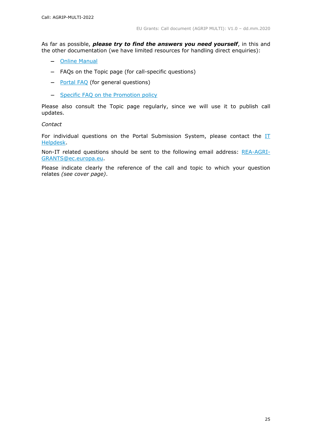As far as possible, *please try to find the answers you need yourself*, in this and the other documentation (we have limited resources for handling direct enquiries):

- [Online Manual](https://ec.europa.eu/info/funding-tenders/opportunities/docs/2021-2027/common/guidance/om_en.pdf)
- FAQs on the Topic page (for call-specific questions)
- [Portal FAQ](https://ec.europa.eu/info/funding-tenders/opportunities/portal/screen/support/faq;categories=;programme=null;actions=;keyword=) (for general questions)
- [Specific FAQ on the Promotion policy](https://ec.europa.eu/info/funding-tenders/opportunities/portal/screen/support/faq;type=0,1;categories=;programme=43298664;keyword=;freeTextSearchKeyword=;period=null;status=0,1;sortQuery=relevance;faqListKey=faqSearchTablePageState)

Please also consult the Topic page regularly, since we will use it to publish call updates.

#### *Contact*

For individual questions on the Portal Submission System, please contact the IT [Helpdesk.](https://ec.europa.eu/info/funding-tenders/opportunities/portal/screen/support/helpdesks/contact-form)

Non-IT related questions should be sent to the following email address: [REA-AGRI-](mailto:REA-AGRI-CALLS@ec.europa.eu)[GRANTS@ec.europa.eu.](mailto:REA-AGRI-CALLS@ec.europa.eu)

Please indicate clearly the reference of the call and topic to which your question relates *(see cover page)*.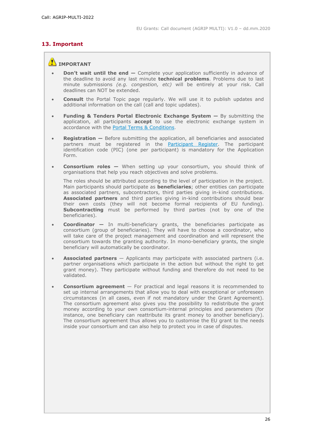# **13. Important**

# **IMPORTANT**

- **Don't wait until the end —** Complete your application sufficiently in advance of the deadline to avoid any last minute **technical problems**. Problems due to last minute submissions *(e.g. congestion, etc)* will be entirely at your risk. Call deadlines can NOT be extended.
- **Consult** the Portal Topic page regularly. We will use it to publish updates and additional information on the call (call and topic updates).
- **Funding & Tenders Portal Electronic Exchange System —** By submitting the application, all participants **accept** to use the electronic exchange system in accordance with the [Portal Terms & Conditions.](https://ec.europa.eu/info/funding-tenders/opportunities/docs/2021-2027/common/ftp/tc_en.pdf)
- **Registration —** Before submitting the application, all beneficiaries and associated partners must be registered in the **Participant Register**. The participant identification code (PIC) (one per participant) is mandatory for the Application Form.
- **Consortium roles —** When setting up your consortium, you should think of organisations that help you reach objectives and solve problems.

The roles should be attributed according to the level of participation in the project. Main participants should participate as **beneficiaries**; other entities can participate as associated partners, subcontractors, third parties giving in-kind contributions. **Associated partners** and third parties giving in-kind contributions should bear their own costs (they will not become formal recipients of EU funding). **Subcontracting** must be performed by third parties (not by one of the beneficiaries).

- **Coordinator —** In multi-beneficiary grants, the beneficiaries participate as consortium (group of beneficiaries). They will have to choose a coordinator, who will take care of the project management and coordination and will represent the consortium towards the granting authority. In mono-beneficiary grants, the single beneficiary will automatically be coordinator.
- **Associated partners** Applicants may participate with associated partners (i.e. partner organisations which participate in the action but without the right to get grant money). They participate without funding and therefore do not need to be validated.
- **Consortium agreement**  For practical and legal reasons it is recommended to set up internal arrangements that allow you to deal with exceptional or unforeseen circumstances (in all cases, even if not mandatory under the Grant Agreement). The consortium agreement also gives you the possibility to redistribute the grant money according to your own consortium-internal principles and parameters (for instance, one beneficiary can reattribute its grant money to another beneficiary). The consortium agreement thus allows you to customise the EU grant to the needs inside your consortium and can also help to protect you in case of disputes.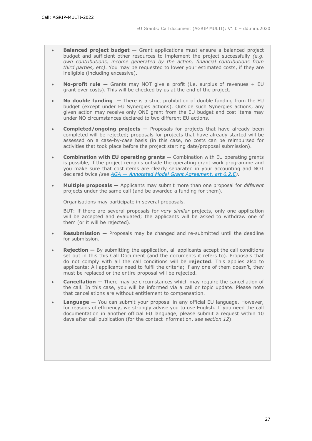- **Balanced project budget –** Grant applications must ensure a balanced project budget and sufficient other resources to implement the project successfully *(e.g. own contributions, income generated by the action, financial contributions from third parties, etc)*. You may be requested to lower your estimated costs, if they are ineligible (including excessive).
- **No-profit rule —** Grants may NOT give a profit (i.e. surplus of revenues + EU grant over costs). This will be checked by us at the end of the project.
- **No double funding —** There is a strict prohibition of double funding from the EU budget (except under EU Synergies actions). Outside such Synergies actions, any given action may receive only ONE grant from the EU budget and cost items may under NO circumstances declared to two different EU actions.
- **Completed/ongoing projects —** Proposals for projects that have already been completed will be rejected; proposals for projects that have already started will be assessed on a case-by-case basis (in this case, no costs can be reimbursed for activities that took place before the project starting date/proposal submission).
- **Combination with EU operating grants —** Combination with EU operating grants is possible, if the project remains outside the operating grant work programme and you make sure that cost items are clearly separated in your accounting and NOT declared twice *(see AGA — [Annotated Model Grant Agreement, art 6.2.E\)](https://ec.europa.eu/info/funding-tenders/opportunities/docs/2021-2027/common/guidance/aga_en.pdf).*
- **Multiple proposals —** Applicants may submit more than one proposal for *different* projects under the same call (and be awarded a funding for them).

Organisations may participate in several proposals.

BUT: if there are several proposals for *very similar* projects, only one application will be accepted and evaluated; the applicants will be asked to withdraw one of them (or it will be rejected).

- **Resubmission —** Proposals may be changed and re-submitted until the deadline for submission.
- **Rejection –** By submitting the application, all applicants accept the call conditions set out in this this Call Document (and the documents it refers to). Proposals that do not comply with all the call conditions will be **rejected**. This applies also to applicants: All applicants need to fulfil the criteria; if any one of them doesn't, they must be replaced or the entire proposal will be rejected.
- **Cancellation —** There may be circumstances which may require the cancellation of the call. In this case, you will be informed via a call or topic update. Please note that cancellations are without entitlement to compensation.
- **Language —** You can submit your proposal in any official EU language. However, for reasons of efficiency, we strongly advise you to use English. If you need the call documentation in another official EU language, please submit a request within 10 days after call publication (for the contact information, *see section 12*).